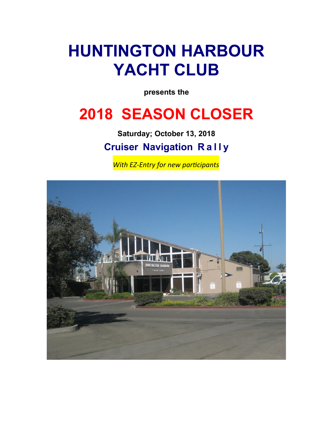# **HUNTINGTON HARBOUR YACHT CLUB**

**presents the**

# **2018 SEASON CLOSER**

**Saturday; October 13, 2018 Cruiser Navigation R a l l y**

**With EZ-Entry for new participants** 

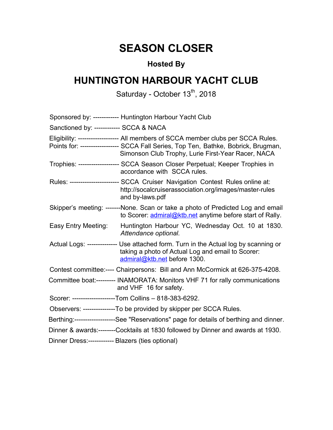## **SEASON CLOSER**

## **Hosted By**

## **HUNTINGTON HARBOUR YACHT CLUB**

#### Saturday - October 13 $^{\text{th}}$ , 2018

|                                                   | Sponsored by: ------------ Huntington Harbour Yacht Club                                                                                                                                                                      |
|---------------------------------------------------|-------------------------------------------------------------------------------------------------------------------------------------------------------------------------------------------------------------------------------|
| Sanctioned by: ------------ SCCA & NACA           |                                                                                                                                                                                                                               |
|                                                   | Eligibility: ------------------- All members of SCCA member clubs per SCCA Rules.<br>Points for: ----------------- SCCA Fall Series, Top Ten, Bathke, Bobrick, Brugman,<br>Simonson Club Trophy, Lurie First-Year Racer, NACA |
|                                                   | Trophies: ------------------ SCCA Season Closer Perpetual; Keeper Trophies in<br>accordance with SCCA rules.                                                                                                                  |
|                                                   | Rules: ----------------------- SCCA Cruiser Navigation Contest Rules online at:<br>http://socalcruiserassociation.org/images/master-rules<br>and by-laws.pdf                                                                  |
|                                                   | Skipper's meeting: -------None. Scan or take a photo of Predicted Log and email<br>to Scorer: admiral@ktb.net anytime before start of Rally.                                                                                  |
| Easy Entry Meeting:                               | Huntington Harbour YC, Wednesday Oct. 10 at 1830.<br>Attendance optional.                                                                                                                                                     |
|                                                   | Actual Logs: -------------- Use attached form. Turn in the Actual log by scanning or<br>taking a photo of Actual Log and email to Scorer:<br>admiral@ktb.net before 1300.                                                     |
|                                                   | Contest committee:---- Chairpersons: Bill and Ann McCormick at 626-375-4208.                                                                                                                                                  |
|                                                   | Committee boat:--------- INAMORATA: Monitors VHF 71 for rally communications<br>and VHF 16 for safety.                                                                                                                        |
|                                                   | Scorer: --------------------Tom Collins - 818-383-6292.                                                                                                                                                                       |
|                                                   | Observers: ----------------To be provided by skipper per SCCA Rules.                                                                                                                                                          |
|                                                   | Berthing:-------------------See "Reservations" page for details of berthing and dinner.                                                                                                                                       |
|                                                   | Dinner & awards:--------Cocktails at 1830 followed by Dinner and awards at 1930.                                                                                                                                              |
| Dinner Dress:------------ Blazers (ties optional) |                                                                                                                                                                                                                               |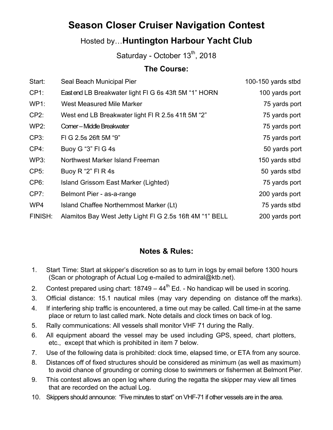## **Season Closer Cruiser Navigation Contest**

### Hosted by…**Huntington Harbour Yacht Club**

Saturday - October 13 $^{\text{th}}$ , 2018

#### **The Course:**

| Seal Beach Municipal Pier                                | 100-150 yards stbd |
|----------------------------------------------------------|--------------------|
| Eastend LB Breakwater light FIG 6s 43ft 5M "1" HORN      | 100 yards port     |
| West Measured Mile Marker                                | 75 yards port      |
| West end LB Breakwater light FI R 2.5s 41ft 5M "2"       | 75 yards port      |
| <b>Comer-Middle Breakwater</b>                           | 75 yards port      |
| FIG 2.5s 26ft 5M "9"                                     | 75 yards port      |
| Buoy G "3" FI G 4s                                       | 50 yards port      |
| Northwest Marker Island Freeman                          | 150 yards stbd     |
| Buoy R "2" FI R 4s                                       | 50 yards stbd      |
| Island Grissom East Marker (Lighted)                     | 75 yards port      |
| Belmont Pier - as-a-range                                | 200 yards port     |
| Island Chaffee Northernmost Marker (Lt)                  | 75 yards stbd      |
| Alamitos Bay West Jetty Light FI G 2.5s 16ft 4M "1" BELL | 200 yards port     |
|                                                          |                    |

#### **Notes & Rules:**

- 1. Start Time: Start at skipper's discretion so as to turn in logs by email before 1300 hours (Scan or photograph of Actual Log e-mailed to admiral@ktb.net).
- 2. Contest prepared using chart:  $18749 44<sup>th</sup>$  Ed. No handicap will be used in scoring.
- 3. Official distance: 15.1 nautical miles (may vary depending on distance off the marks).
- 4. If interfering ship traffic is encountered, a time out may be called. Call time-in at the same place or return to last called mark. Note details and clock times on back of log.
- 5. Rally communications: All vessels shall monitor VHF 71 during the Rally.
- 6. All equipment aboard the vessel may be used including GPS, speed, chart plotters, etc., except that which is prohibited in item 7 below.
- 7. Use of the following data is prohibited: clock time, elapsed time, or ETA from any source.
- 8. Distances off of fixed structures should be considered as minimum (as well as maximum) to avoid chance of grounding or coming close to swimmers or fishermen at Belmont Pier.
- 9. This contest allows an open log where during the regatta the skipper may view all times that are recorded on the actual Log.
- 10. Skippers should announce: "Five minutes to start" on VHF-71 if other vessels are in the area.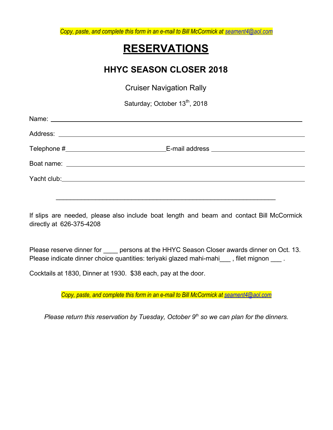*Copy, paste, and complete this form in an e-mail to Bill McCormick at [seament4@aol.com](mailto:seament4@aol.com)*

## **RESERVATIONS**

### **HHYC SEASON CLOSER 2018**

Cruiser Navigation Rally

Saturday; October 13<sup>th</sup>, 2018

If slips are needed, please also include boat length and beam and contact Bill McCormick directly at 626-375-4208

\_\_\_\_\_\_\_\_\_\_\_\_\_\_\_\_\_\_\_\_\_\_\_\_\_\_\_\_\_\_\_\_\_\_\_\_\_\_\_\_\_\_\_\_\_\_\_\_\_\_\_\_\_\_\_\_\_\_\_\_\_

Please reserve dinner for persons at the HHYC Season Closer awards dinner on Oct. 13. Please indicate dinner choice quantities: teriyaki glazed mahi-mahi\_\_\_ , filet mignon \_\_\_ .

Cocktails at 1830, Dinner at 1930. \$38 each, pay at the door.

*Copy, paste, and complete this form in an e-mail to Bill McCormick at [seament4@aol.com](mailto:seament4@aol.com)*

*Please return this reservation by Tuesday, October 9th so we can plan for the dinners.*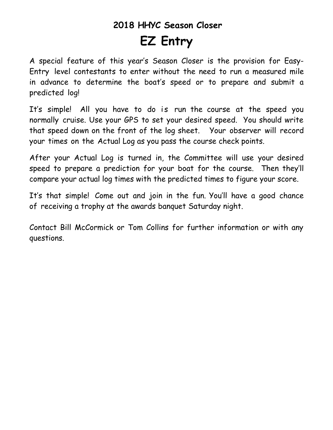# **2018 HHYC Season Closer EZ Entry**

A special feature of this year's Season Closer is the provision for Easy-Entry level contestants to enter without the need to run a measured mile in advance to determine the boat's speed or to prepare and submit a predicted log!

It's simple! All you have to do is run the course at the speed you normally cruise. Use your GPS to set your desired speed. You should write that speed down on the front of the log sheet. Your observer will record your times on the Actual Log as you pass the course check points.

After your Actual Log is turned in, the Committee will use your desired speed to prepare a prediction for your boat for the course. Then they'll compare your actual log times with the predicted times to figure your score.

It's that simple! Come out and join in the fun. You'll have a good chance of receiving a trophy at the awards banquet Saturday night.

Contact Bill McCormick or Tom Collins for further information or with any questions.